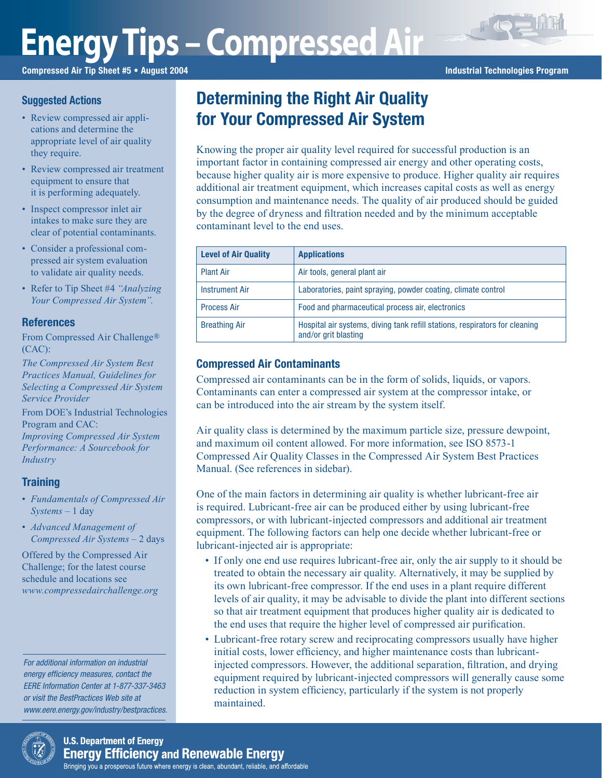# **Energy Tips – Compressed Air**

Compressed Air Tip Sheet #5 • August 2004 **Industrial Technologies Program** Industrial Technologies Program

#### **Suggested Actions**

- Review compressed air applications and determine the appropriate level of air quality they require.
- Review compressed air treatment equipment to ensure that it is performing adequately.
- Inspect compressor inlet air intakes to make sure they are clear of potential contaminants.
- Consider a professional compressed air system evaluation to validate air quality needs.
- Refer to Tip Sheet #4 *"Analyzing Your Compressed Air System".*

#### **References**

From Compressed Air Challenge® (CAC):

*The Compressed Air System Best Practices Manual, Guidelines for Selecting a Compressed Air System Service Provider*

From DOE's Industrial Technologies Program and CAC:

*Improving Compressed Air System Performance: A Sourcebook for Industry*

#### **Training**

- *Fundamentals of Compressed Air Systems* – 1 day
- *Advanced Management of Compressed Air Systems* – 2 days

Offered by the Compressed Air Challenge; for the latest course schedule and locations see *www.compressedairchallenge.org*

For additional information on industrial energy efficiency measures, contact the EERE Information Center at 1-877-337-3463 or visit the BestPractices Web site at www.eere.energy.gov/industry/bestpractices.

## Determining the Right Air Quality for Your Compressed Air System

Knowing the proper air quality level required for successful production is an important factor in containing compressed air energy and other operating costs, because higher quality air is more expensive to produce. Higher quality air requires additional air treatment equipment, which increases capital costs as well as energy consumption and maintenance needs. The quality of air produced should be guided by the degree of dryness and filtration needed and by the minimum acceptable contaminant level to the end uses.

| <b>Level of Air Quality</b> | <b>Applications</b>                                                                                 |  |
|-----------------------------|-----------------------------------------------------------------------------------------------------|--|
| <b>Plant Air</b>            | Air tools, general plant air                                                                        |  |
| <b>Instrument Air</b>       | Laboratories, paint spraying, powder coating, climate control                                       |  |
| <b>Process Air</b>          | Food and pharmaceutical process air, electronics                                                    |  |
| <b>Breathing Air</b>        | Hospital air systems, diving tank refill stations, respirators for cleaning<br>and/or grit blasting |  |

### Compressed Air Contaminants

Compressed air contaminants can be in the form of solids, liquids, or vapors. Contaminants can enter a compressed air system at the compressor intake, or can be introduced into the air stream by the system itself.

Air quality class is determined by the maximum particle size, pressure dewpoint, and maximum oil content allowed. For more information, see ISO 8573-1 Compressed Air Quality Classes in the Compressed Air System Best Practices Manual. (See references in sidebar).

One of the main factors in determining air quality is whether lubricant-free air is required. Lubricant-free air can be produced either by using lubricant-free compressors, or with lubricant-injected compressors and additional air treatment equipment. The following factors can help one decide whether lubricant-free or lubricant-injected air is appropriate:

- If only one end use requires lubricant-free air, only the air supply to it should be treated to obtain the necessary air quality. Alternatively, it may be supplied by its own lubricant-free compressor. If the end uses in a plant require different levels of air quality, it may be advisable to divide the plant into different sections so that air treatment equipment that produces higher quality air is dedicated to the end uses that require the higher level of compressed air purification.
- Lubricant-free rotary screw and reciprocating compressors usually have higher initial costs, lower efficiency, and higher maintenance costs than lubricantinjected compressors. However, the additional separation, filtration, and drying equipment required by lubricant-injected compressors will generally cause some reduction in system efficiency, particularly if the system is not properly maintained.